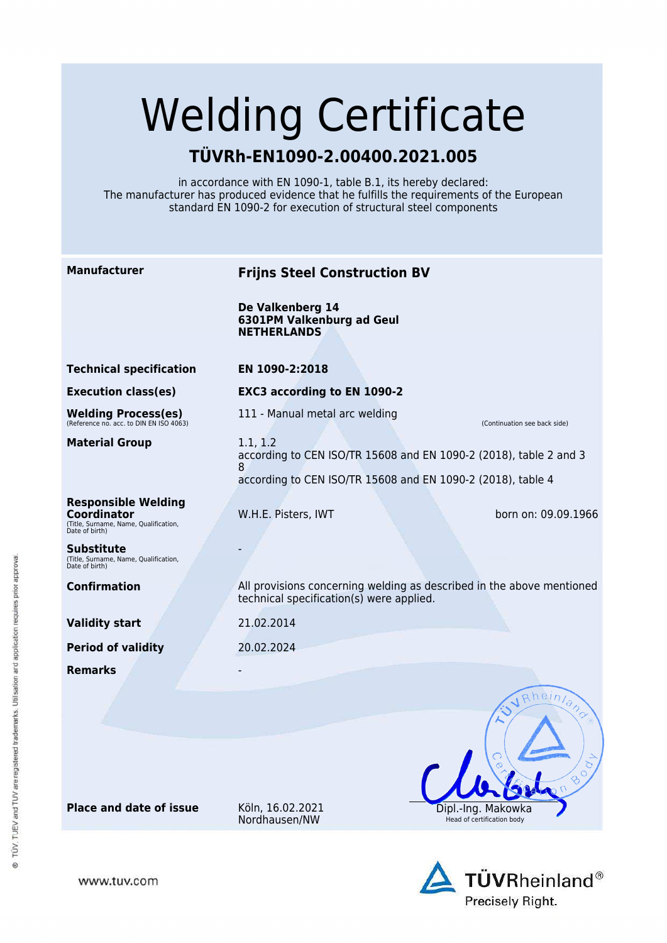# Welding Certificate

## **TÜVRh-EN1090-2.00400.2021.005**

in accordance with EN 1090-1, table B.1, its hereby declared: The manufacturer has produced evidence that he fulfills the requirements of the European standard EN 1090-2 for execution of structural steel components

| <b>Manufacturer</b>                                                                                         | <b>Frijns Steel Construction BV</b>                                                                                                               |                                                  |
|-------------------------------------------------------------------------------------------------------------|---------------------------------------------------------------------------------------------------------------------------------------------------|--------------------------------------------------|
|                                                                                                             | De Valkenberg 14<br><b>6301PM Valkenburg ad Geul</b><br><b>NETHERLANDS</b>                                                                        |                                                  |
| <b>Technical specification</b>                                                                              | EN 1090-2:2018                                                                                                                                    |                                                  |
| <b>Execution class(es)</b>                                                                                  | <b>EXC3 according to EN 1090-2</b>                                                                                                                |                                                  |
| Welding Process(es)<br>(Reference no. acc. to DIN EN ISO 4063)                                              | 111 - Manual metal arc welding                                                                                                                    | (Continuation see back side)                     |
| <b>Material Group</b>                                                                                       | 1.1, 1.2<br>according to CEN ISO/TR 15608 and EN 1090-2 (2018), table 2 and 3<br>8<br>according to CEN ISO/TR 15608 and EN 1090-2 (2018), table 4 |                                                  |
| <b>Responsible Welding</b><br><b>Coordinator</b><br>(Title, Surname, Name, Qualification,<br>Date of birth) | W.H.E. Pisters, IWT                                                                                                                               | born on: 09.09.1966                              |
| <b>Substitute</b><br>(Title, Surname, Name, Qualification,<br>Date of birth)                                |                                                                                                                                                   |                                                  |
| <b>Confirmation</b>                                                                                         | All provisions concerning welding as described in the above mentioned<br>technical specification(s) were applied.                                 |                                                  |
| <b>Validity start</b>                                                                                       | 21.02.2014                                                                                                                                        |                                                  |
| <b>Period of validity</b>                                                                                   | 20.02.2024                                                                                                                                        |                                                  |
| <b>Remarks</b>                                                                                              |                                                                                                                                                   | Rheinland                                        |
|                                                                                                             |                                                                                                                                                   | 800<br>$R_{\text{D}}$                            |
| <b>Place and date of issue</b>                                                                              | Köln, 16.02.2021<br>Nordhausen/NW                                                                                                                 | Dipl.-Ing. Makowka<br>Head of certification body |
|                                                                                                             |                                                                                                                                                   |                                                  |